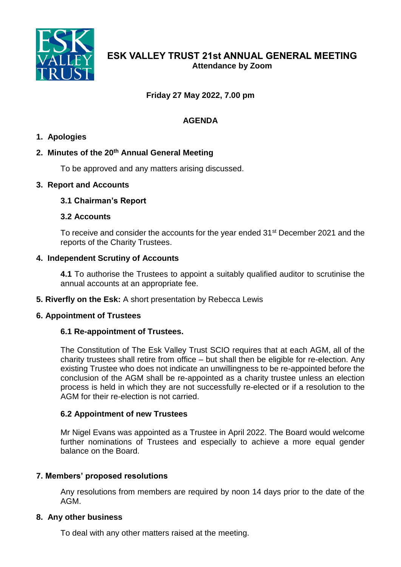

# **Friday 27 May 2022, 7.00 pm**

# **AGENDA**

### **1. Apologies**

### **2. Minutes of the 20th Annual General Meeting**

To be approved and any matters arising discussed.

### **3. Report and Accounts**

### **3.1 Chairman's Report**

### **3.2 Accounts**

To receive and consider the accounts for the year ended 31st December 2021 and the reports of the Charity Trustees.

### **4. Independent Scrutiny of Accounts**

**4.1** To authorise the Trustees to appoint a suitably qualified auditor to scrutinise the annual accounts at an appropriate fee.

**5. Riverfly on the Esk:** A short presentation by Rebecca Lewis

# **6. Appointment of Trustees**

### **6.1 Re-appointment of Trustees.**

The Constitution of The Esk Valley Trust SCIO requires that at each AGM, all of the charity trustees shall retire from office – but shall then be eligible for re-election. Any existing Trustee who does not indicate an unwillingness to be re-appointed before the conclusion of the AGM shall be re-appointed as a charity trustee unless an election process is held in which they are not successfully re-elected or if a resolution to the AGM for their re-election is not carried.

### **6.2 Appointment of new Trustees**

Mr Nigel Evans was appointed as a Trustee in April 2022. The Board would welcome further nominations of Trustees and especially to achieve a more equal gender balance on the Board.

### **7. Members' proposed resolutions**

Any resolutions from members are required by noon 14 days prior to the date of the AGM.

### **8. Any other business**

To deal with any other matters raised at the meeting.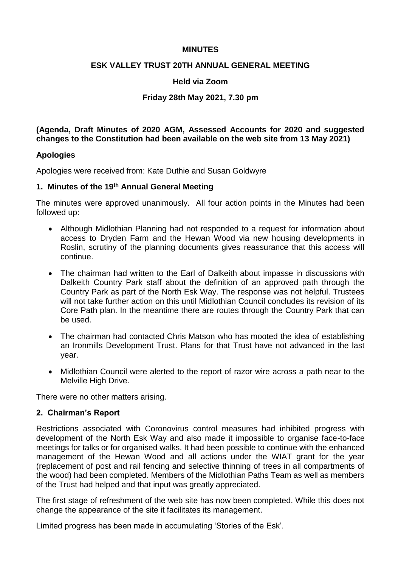### **MINUTES**

### **ESK VALLEY TRUST 20TH ANNUAL GENERAL MEETING**

#### **Held via Zoom**

### **Friday 28th May 2021, 7.30 pm**

**(Agenda, Draft Minutes of 2020 AGM, Assessed Accounts for 2020 and suggested changes to the Constitution had been available on the web site from 13 May 2021)**

#### **Apologies**

Apologies were received from: Kate Duthie and Susan Goldwyre

#### **1. Minutes of the 19th Annual General Meeting**

The minutes were approved unanimously. All four action points in the Minutes had been followed up:

- Although Midlothian Planning had not responded to a request for information about access to Dryden Farm and the Hewan Wood via new housing developments in Roslin, scrutiny of the planning documents gives reassurance that this access will continue.
- The chairman had written to the Earl of Dalkeith about impasse in discussions with Dalkeith Country Park staff about the definition of an approved path through the Country Park as part of the North Esk Way. The response was not helpful. Trustees will not take further action on this until Midlothian Council concludes its revision of its Core Path plan. In the meantime there are routes through the Country Park that can be used.
- The chairman had contacted Chris Matson who has mooted the idea of establishing an Ironmills Development Trust. Plans for that Trust have not advanced in the last year.
- Midlothian Council were alerted to the report of razor wire across a path near to the Melville High Drive.

There were no other matters arising.

### **2. Chairman's Report**

Restrictions associated with Coronovirus control measures had inhibited progress with development of the North Esk Way and also made it impossible to organise face-to-face meetings for talks or for organised walks. It had been possible to continue with the enhanced management of the Hewan Wood and all actions under the WIAT grant for the year (replacement of post and rail fencing and selective thinning of trees in all compartments of the wood) had been completed. Members of the Midlothian Paths Team as well as members of the Trust had helped and that input was greatly appreciated.

The first stage of refreshment of the web site has now been completed. While this does not change the appearance of the site it facilitates its management.

Limited progress has been made in accumulating 'Stories of the Esk'.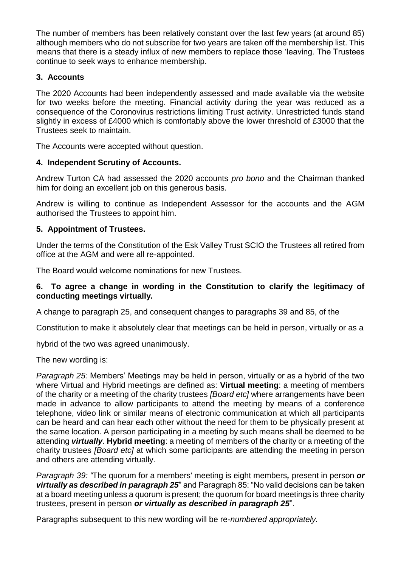The number of members has been relatively constant over the last few years (at around 85) although members who do not subscribe for two years are taken off the membership list. This means that there is a steady influx of new members to replace those 'leaving. The Trustees continue to seek ways to enhance membership.

# **3. Accounts**

The 2020 Accounts had been independently assessed and made available via the website for two weeks before the meeting. Financial activity during the year was reduced as a consequence of the Coronovirus restrictions limiting Trust activity. Unrestricted funds stand slightly in excess of £4000 which is comfortably above the lower threshold of £3000 that the Trustees seek to maintain.

The Accounts were accepted without question.

# **4. Independent Scrutiny of Accounts.**

Andrew Turton CA had assessed the 2020 accounts *pro bono* and the Chairman thanked him for doing an excellent job on this generous basis.

Andrew is willing to continue as Independent Assessor for the accounts and the AGM authorised the Trustees to appoint him.

# **5. Appointment of Trustees.**

Under the terms of the Constitution of the Esk Valley Trust SCIO the Trustees all retired from office at the AGM and were all re-appointed.

The Board would welcome nominations for new Trustees.

# **6. To agree a change in wording in the Constitution to clarify the legitimacy of conducting meetings virtually.**

A change to paragraph 25, and consequent changes to paragraphs 39 and 85, of the

Constitution to make it absolutely clear that meetings can be held in person, virtually or as a

hybrid of the two was agreed unanimously.

The new wording is:

*Paragraph 25:* Members' Meetings may be held in person, virtually or as a hybrid of the two where Virtual and Hybrid meetings are defined as: **Virtual meeting**: a meeting of members of the charity or a meeting of the charity trustees *[Board etc]* where arrangements have been made in advance to allow participants to attend the meeting by means of a conference telephone, video link or similar means of electronic communication at which all participants can be heard and can hear each other without the need for them to be physically present at the same location. A person participating in a meeting by such means shall be deemed to be attending *virtually*. **Hybrid meeting**: a meeting of members of the charity or a meeting of the charity trustees *[Board etc]* at which some participants are attending the meeting in person and others are attending virtually.

*Paragraph 39: "*The quorum for a members' meeting is eight members*,* present in person *or virtually as described in paragraph 25*" and Paragraph 85: "No valid decisions can be taken at a board meeting unless a quorum is present; the quorum for board meetings is three charity trustees, present in person *or virtually as described in paragraph 25*".

Paragraphs subsequent to this new wording will be re*-numbered appropriately.*